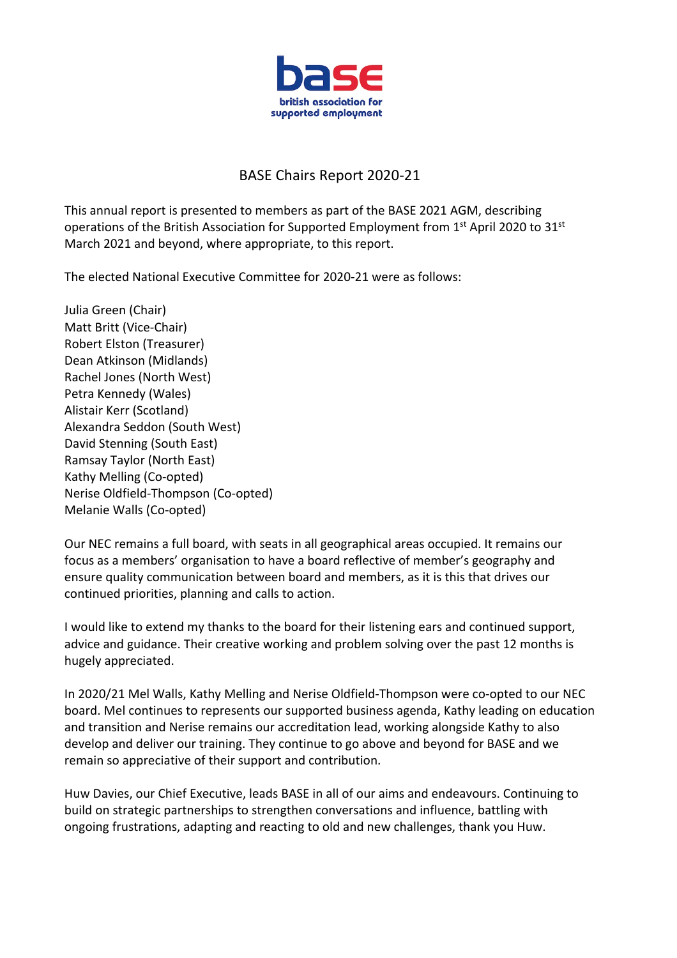

## BASE Chairs Report 2020-21

This annual report is presented to members as part of the BASE 2021 AGM, describing operations of the British Association for Supported Employment from  $1<sup>st</sup>$  April 2020 to 31 $<sup>st</sup>$ </sup> March 2021 and beyond, where appropriate, to this report.

The elected National Executive Committee for 2020-21 were as follows:

Julia Green (Chair) Matt Britt (Vice-Chair) Robert Elston (Treasurer) Dean Atkinson (Midlands) Rachel Jones (North West) Petra Kennedy (Wales) Alistair Kerr (Scotland) Alexandra Seddon (South West) David Stenning (South East) Ramsay Taylor (North East) Kathy Melling (Co-opted) Nerise Oldfield-Thompson (Co-opted) Melanie Walls (Co-opted)

Our NEC remains a full board, with seats in all geographical areas occupied. It remains our focus as a members' organisation to have a board reflective of member's geography and ensure quality communication between board and members, as it is this that drives our continued priorities, planning and calls to action.

I would like to extend my thanks to the board for their listening ears and continued support, advice and guidance. Their creative working and problem solving over the past 12 months is hugely appreciated.

In 2020/21 Mel Walls, Kathy Melling and Nerise Oldfield-Thompson were co-opted to our NEC board. Mel continues to represents our supported business agenda, Kathy leading on education and transition and Nerise remains our accreditation lead, working alongside Kathy to also develop and deliver our training. They continue to go above and beyond for BASE and we remain so appreciative of their support and contribution.

Huw Davies, our Chief Executive, leads BASE in all of our aims and endeavours. Continuing to build on strategic partnerships to strengthen conversations and influence, battling with ongoing frustrations, adapting and reacting to old and new challenges, thank you Huw.